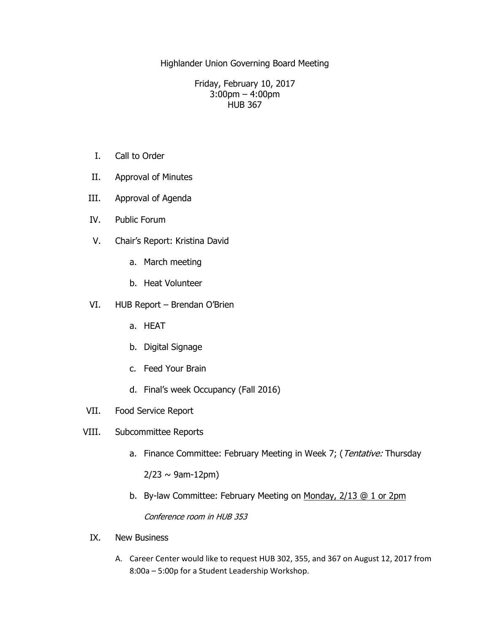Highlander Union Governing Board Meeting

Friday, February 10, 2017 3:00pm – 4:00pm HUB 367

- I. Call to Order
- II. Approval of Minutes
- III. Approval of Agenda
- IV. Public Forum
- V. Chair's Report: Kristina David
	- a. March meeting
	- b. Heat Volunteer
- VI. HUB Report Brendan O'Brien
	- a. HEAT
	- b. Digital Signage
	- c. Feed Your Brain
	- d. Final's week Occupancy (Fall 2016)
- VII. Food Service Report
- VIII. Subcommittee Reports
	- a. Finance Committee: February Meeting in Week 7; (Tentative: Thursday  $2/23 \sim 9$ am-12pm)
	- b. By-law Committee: February Meeting on Monday, 2/13 @ 1 or 2pm

Conference room in HUB 353

- IX. New Business
	- A. Career Center would like to request HUB 302, 355, and 367 on August 12, 2017 from 8:00a – 5:00p for a Student Leadership Workshop.